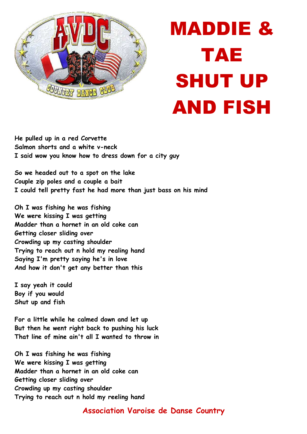

## MADDIE & TAE SHUT UP AND FISH

**He pulled up in a red Corvette Salmon shorts and a white v-neck I said wow you know how to dress down for a city guy** 

**So we headed out to a spot on the lake Couple zip poles and a couple a bait I could tell pretty fast he had more than just bass on his mind** 

**Oh I was fishing he was fishing We were kissing I was getting Madder than a hornet in an old coke can Getting closer sliding over Crowding up my casting shoulder Trying to reach out n hold my realing hand Saying I'm pretty saying he's in love And how it don't get any better than this** 

**I say yeah it could Boy if you would Shut up and fish** 

**For a little while he calmed down and let up But then he went right back to pushing his luck That line of mine ain't all I wanted to throw in** 

**Oh I was fishing he was fishing We were kissing I was getting Madder than a hornet in an old coke can Getting closer sliding over Crowding up my casting shoulder Trying to reach out n hold my reeling hand** 

## **Association Varoise de Danse Country**